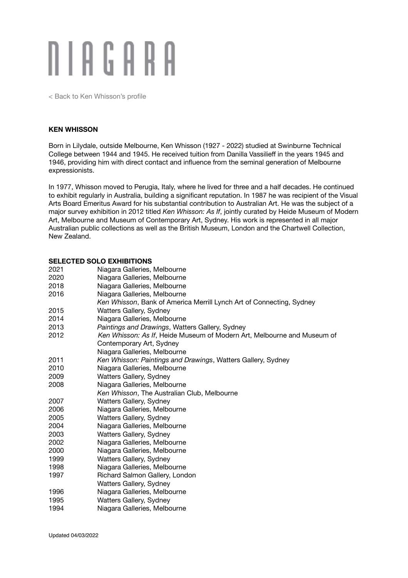# N I A G A R A

[< Back to Ken Whisson's profile](http://niagaragalleries.com.au/ken-whisson)

### **KEN WHISSON**

Born in Lilydale, outside Melbourne, Ken Whisson (1927 - 2022) studied at Swinburne Technical College between 1944 and 1945. He received tuition from Danilla Vassilieff in the years 1945 and 1946, providing him with direct contact and influence from the seminal generation of Melbourne expressionists.

In 1977, Whisson moved to Perugia, Italy, where he lived for three and a half decades. He continued to exhibit regularly in Australia, building a significant reputation. In 1987 he was recipient of the Visual Arts Board Emeritus Award for his substantial contribution to Australian Art. He was the subject of a major survey exhibition in 2012 titled *Ken Whisson: As If*, jointly curated by Heide Museum of Modern Art, Melbourne and Museum of Contemporary Art, Sydney. His work is represented in all major Australian public collections as well as the British Museum, London and the Chartwell Collection, New Zealand.

### **SELECTED SOLO EXHIBITIONS**

| 2021 | Niagara Galleries, Melbourne                                            |
|------|-------------------------------------------------------------------------|
| 2020 | Niagara Galleries, Melbourne                                            |
| 2018 | Niagara Galleries, Melbourne                                            |
| 2016 | Niagara Galleries, Melbourne                                            |
|      | Ken Whisson, Bank of America Merrill Lynch Art of Connecting, Sydney    |
| 2015 | Watters Gallery, Sydney                                                 |
| 2014 | Niagara Galleries, Melbourne                                            |
| 2013 | Paintings and Drawings, Watters Gallery, Sydney                         |
| 2012 | Ken Whisson: As If, Heide Museum of Modern Art, Melbourne and Museum of |
|      | Contemporary Art, Sydney                                                |
|      | Niagara Galleries, Melbourne                                            |
| 2011 | Ken Whisson: Paintings and Drawings, Watters Gallery, Sydney            |
| 2010 | Niagara Galleries, Melbourne                                            |
| 2009 | Watters Gallery, Sydney                                                 |
| 2008 | Niagara Galleries, Melbourne                                            |
|      | Ken Whisson, The Australian Club, Melbourne                             |
| 2007 | Watters Gallery, Sydney                                                 |
| 2006 | Niagara Galleries, Melbourne                                            |
| 2005 | Watters Gallery, Sydney                                                 |
| 2004 | Niagara Galleries, Melbourne                                            |
| 2003 | Watters Gallery, Sydney                                                 |
| 2002 | Niagara Galleries, Melbourne                                            |
| 2000 | Niagara Galleries, Melbourne                                            |
| 1999 | Watters Gallery, Sydney                                                 |
| 1998 | Niagara Galleries, Melbourne                                            |
| 1997 | Richard Salmon Gallery, London                                          |
|      | Watters Gallery, Sydney                                                 |
| 1996 | Niagara Galleries, Melbourne                                            |
| 1995 | Watters Gallery, Sydney                                                 |
| 1994 | Niagara Galleries, Melbourne                                            |
|      |                                                                         |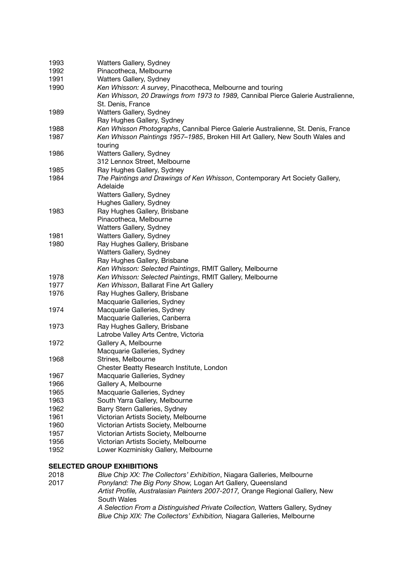| 1993                              | Watters Gallery, Sydney                                                           |  |
|-----------------------------------|-----------------------------------------------------------------------------------|--|
| 1992                              | Pinacotheca, Melbourne                                                            |  |
| 1991                              | Watters Gallery, Sydney                                                           |  |
| 1990                              | Ken Whisson: A survey, Pinacotheca, Melbourne and touring                         |  |
|                                   | Ken Whisson, 20 Drawings from 1973 to 1989, Cannibal Pierce Galerie Australienne, |  |
|                                   | St. Denis, France                                                                 |  |
| 1989                              | Watters Gallery, Sydney                                                           |  |
|                                   | Ray Hughes Gallery, Sydney                                                        |  |
| 1988                              | Ken Whisson Photographs, Cannibal Pierce Galerie Australienne, St. Denis, France  |  |
| 1987                              | Ken Whisson Paintings 1957–1985, Broken Hill Art Gallery, New South Wales and     |  |
|                                   | touring                                                                           |  |
| 1986                              | Watters Gallery, Sydney                                                           |  |
|                                   | 312 Lennox Street, Melbourne                                                      |  |
| 1985                              | Ray Hughes Gallery, Sydney                                                        |  |
| 1984                              | The Paintings and Drawings of Ken Whisson, Contemporary Art Society Gallery,      |  |
|                                   | Adelaide                                                                          |  |
|                                   | Watters Gallery, Sydney                                                           |  |
|                                   | Hughes Gallery, Sydney                                                            |  |
| 1983                              | Ray Hughes Gallery, Brisbane                                                      |  |
|                                   | Pinacotheca, Melbourne                                                            |  |
|                                   | Watters Gallery, Sydney                                                           |  |
| 1981                              | Watters Gallery, Sydney                                                           |  |
| 1980                              | Ray Hughes Gallery, Brisbane                                                      |  |
|                                   | Watters Gallery, Sydney                                                           |  |
|                                   | Ray Hughes Gallery, Brisbane                                                      |  |
|                                   | Ken Whisson: Selected Paintings, RMIT Gallery, Melbourne                          |  |
| 1978                              | Ken Whisson: Selected Paintings, RMIT Gallery, Melbourne                          |  |
| 1977                              | Ken Whisson, Ballarat Fine Art Gallery                                            |  |
| 1976                              | Ray Hughes Gallery, Brisbane                                                      |  |
|                                   | Macquarie Galleries, Sydney                                                       |  |
| 1974                              | Macquarie Galleries, Sydney                                                       |  |
|                                   | Macquarie Galleries, Canberra                                                     |  |
| 1973                              | Ray Hughes Gallery, Brisbane                                                      |  |
|                                   | Latrobe Valley Arts Centre, Victoria                                              |  |
| 1972                              | Gallery A, Melbourne                                                              |  |
|                                   | Macquarie Galleries, Sydney                                                       |  |
| 1968                              | Strines, Melbourne                                                                |  |
|                                   | Chester Beatty Research Institute, London                                         |  |
| 1967                              | Macquarie Galleries, Sydney                                                       |  |
| 1966                              | Gallery A, Melbourne                                                              |  |
| 1965                              | Macquarie Galleries, Sydney                                                       |  |
| 1963                              | South Yarra Gallery, Melbourne                                                    |  |
| 1962                              | Barry Stern Galleries, Sydney                                                     |  |
| 1961                              | Victorian Artists Society, Melbourne                                              |  |
| 1960                              | Victorian Artists Society, Melbourne                                              |  |
| 1957                              | Victorian Artists Society, Melbourne                                              |  |
| 1956                              | Victorian Artists Society, Melbourne                                              |  |
| 1952                              | Lower Kozminisky Gallery, Melbourne                                               |  |
|                                   |                                                                                   |  |
| <b>SELECTED GROUP EXHIBITIONS</b> |                                                                                   |  |

2018 *Blue Chip XX: The Collectors' Exhibition*, Niagara Galleries, Melbourne 2017 *Ponyland: The Big Pony Show,* Logan Art Gallery, Queensland *Artist Profile, Australasian Painters 2007-2017,* Orange Regional Gallery, New South Wales *A Selection From a Distinguished Private Collection,* Watters Gallery, Sydney *Blue Chip XIX: The Collectors' Exhibition,* Niagara Galleries, Melbourne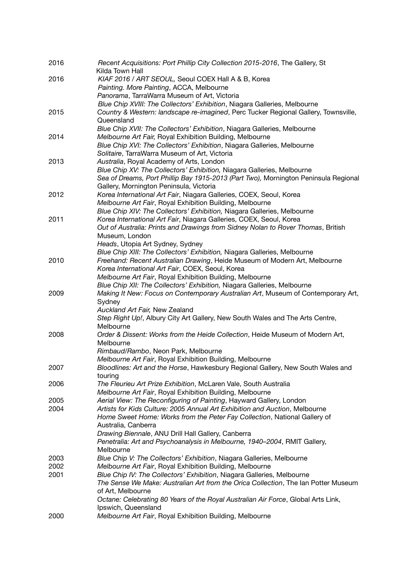| 2016 | Recent Acquisitions: Port Phillip City Collection 2015-2016, The Gallery, St                                                                                 |
|------|--------------------------------------------------------------------------------------------------------------------------------------------------------------|
|      | Kilda Town Hall                                                                                                                                              |
| 2016 | KIAF 2016 / ART SEOUL, Seoul COEX Hall A & B, Korea                                                                                                          |
|      | Painting. More Painting, ACCA, Melbourne                                                                                                                     |
|      | Panorama, TarraWarra Museum of Art, Victoria                                                                                                                 |
|      | Blue Chip XVIII: The Collectors' Exhibition, Niagara Galleries, Melbourne                                                                                    |
| 2015 | Country & Western: landscape re-imagined, Perc Tucker Regional Gallery, Townsville,                                                                          |
|      | Queensland                                                                                                                                                   |
|      | Blue Chip XVII: The Collectors' Exhibition, Niagara Galleries, Melbourne                                                                                     |
| 2014 | Melbourne Art Fair, Royal Exhibition Building, Melbourne                                                                                                     |
|      | Blue Chip XVI: The Collectors' Exhibition, Niagara Galleries, Melbourne                                                                                      |
|      | Solitaire, TarraWarra Museum of Art, Victoria                                                                                                                |
| 2013 | Australia, Royal Academy of Arts, London                                                                                                                     |
|      | Blue Chip XV: The Collectors' Exhibition, Niagara Galleries, Melbourne                                                                                       |
|      | Sea of Dreams, Port Phillip Bay 1915-2013 (Part Two), Mornington Peninsula Regional                                                                          |
|      | Gallery, Mornington Peninsula, Victoria                                                                                                                      |
| 2012 | Korea International Art Fair, Niagara Galleries, COEX, Seoul, Korea<br>Melbourne Art Fair, Royal Exhibition Building, Melbourne                              |
|      | Blue Chip XIV: The Collectors' Exhibition, Niagara Galleries, Melbourne                                                                                      |
| 2011 | Korea International Art Fair, Niagara Galleries, COEX, Seoul, Korea                                                                                          |
|      | Out of Australia: Prints and Drawings from Sidney Nolan to Rover Thomas, British                                                                             |
|      | Museum, London                                                                                                                                               |
|      | Heads, Utopia Art Sydney, Sydney                                                                                                                             |
|      | Blue Chip XIII: The Collectors' Exhibition, Niagara Galleries, Melbourne                                                                                     |
| 2010 | Freehand: Recent Australian Drawing, Heide Museum of Modern Art, Melbourne                                                                                   |
|      | Korea International Art Fair, COEX, Seoul, Korea                                                                                                             |
|      | Melbourne Art Fair, Royal Exhibition Building, Melbourne                                                                                                     |
|      | Blue Chip XII: The Collectors' Exhibition, Niagara Galleries, Melbourne                                                                                      |
| 2009 | Making It New: Focus on Contemporary Australian Art, Museum of Contemporary Art,                                                                             |
|      | Sydney                                                                                                                                                       |
|      | Auckland Art Fair, New Zealand                                                                                                                               |
|      | Step Right Up!, Albury City Art Gallery, New South Wales and The Arts Centre,                                                                                |
|      | Melbourne                                                                                                                                                    |
| 2008 | Order & Dissent: Works from the Heide Collection, Heide Museum of Modern Art,                                                                                |
|      | Melbourne                                                                                                                                                    |
|      | Rimbaud/Rambo, Neon Park, Melbourne                                                                                                                          |
|      | Melbourne Art Fair, Royal Exhibition Building, Melbourne                                                                                                     |
| 2007 | Bloodlines: Art and the Horse, Hawkesbury Regional Gallery, New South Wales and                                                                              |
|      | touring                                                                                                                                                      |
| 2006 | The Fleurieu Art Prize Exhibition, McLaren Vale, South Australia                                                                                             |
|      | Melbourne Art Fair, Royal Exhibition Building, Melbourne                                                                                                     |
| 2005 | Aerial View: The Reconfiguring of Painting, Hayward Gallery, London                                                                                          |
| 2004 | Artists for Kids Culture: 2005 Annual Art Exhibition and Auction, Melbourne                                                                                  |
|      | Home Sweet Home: Works from the Peter Fay Collection, National Gallery of                                                                                    |
|      | Australia, Canberra                                                                                                                                          |
|      | Drawing Biennale, ANU Drill Hall Gallery, Canberra                                                                                                           |
|      | Penetralia: Art and Psychoanalysis in Melbourne, 1940-2004, RMIT Gallery,                                                                                    |
|      | Melbourne                                                                                                                                                    |
| 2003 | Blue Chip V: The Collectors' Exhibition, Niagara Galleries, Melbourne                                                                                        |
| 2002 | Melbourne Art Fair, Royal Exhibition Building, Melbourne                                                                                                     |
| 2001 | Blue Chip IV: The Collectors' Exhibition, Niagara Galleries, Melbourne<br>The Sense We Make: Australian Art from the Orica Collection, The Ian Potter Museum |
|      | of Art, Melbourne                                                                                                                                            |
|      | Octane: Celebrating 80 Years of the Royal Australian Air Force, Global Arts Link,                                                                            |
|      | Ipswich, Queensland                                                                                                                                          |
| 2000 | Melbourne Art Fair, Royal Exhibition Building, Melbourne                                                                                                     |
|      |                                                                                                                                                              |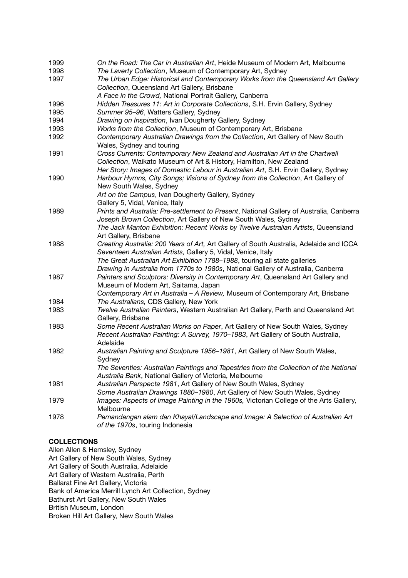| 1999 | On the Road: The Car in Australian Art, Heide Museum of Modern Art, Melbourne            |
|------|------------------------------------------------------------------------------------------|
| 1998 | The Laverty Collection, Museum of Contemporary Art, Sydney                               |
| 1997 | The Urban Edge: Historical and Contemporary Works from the Queensland Art Gallery        |
|      | Collection, Queensland Art Gallery, Brisbane                                             |
|      | A Face in the Crowd, National Portrait Gallery, Canberra                                 |
| 1996 | Hidden Treasures 11: Art in Corporate Collections, S.H. Ervin Gallery, Sydney            |
| 1995 | Summer 95-96, Watters Gallery, Sydney                                                    |
| 1994 | Drawing on Inspiration, Ivan Dougherty Gallery, Sydney                                   |
| 1993 | Works from the Collection, Museum of Contemporary Art, Brisbane                          |
| 1992 | Contemporary Australian Drawings from the Collection, Art Gallery of New South           |
|      | Wales, Sydney and touring                                                                |
| 1991 | Cross Currents: Contemporary New Zealand and Australian Art in the Chartwell             |
|      | Collection, Waikato Museum of Art & History, Hamilton, New Zealand                       |
|      | Her Story: Images of Domestic Labour in Australian Art, S.H. Ervin Gallery, Sydney       |
| 1990 | Harbour Hymns, City Songs; Visions of Sydney from the Collection, Art Gallery of         |
|      | New South Wales, Sydney                                                                  |
|      | Art on the Campus, Ivan Dougherty Gallery, Sydney                                        |
|      | Gallery 5, Vidal, Venice, Italy                                                          |
| 1989 | Prints and Australia: Pre-settlement to Present, National Gallery of Australia, Canberra |
|      | Joseph Brown Collection, Art Gallery of New South Wales, Sydney                          |
|      | The Jack Manton Exhibition: Recent Works by Twelve Australian Artists, Queensland        |
|      | Art Gallery, Brisbane                                                                    |
| 1988 | Creating Australia: 200 Years of Art, Art Gallery of South Australia, Adelaide and ICCA  |
|      | Seventeen Australian Artists, Gallery 5, Vidal, Venice, Italy                            |
|      | The Great Australian Art Exhibition 1788-1988, touring all state galleries               |
|      | Drawing in Australia from 1770s to 1980s, National Gallery of Australia, Canberra        |
| 1987 | Painters and Sculptors: Diversity in Contemporary Art, Queensland Art Gallery and        |
|      | Museum of Modern Art, Saitama, Japan                                                     |
|      | Contemporary Art in Australia - A Review, Museum of Contemporary Art, Brisbane           |
| 1984 | The Australians, CDS Gallery, New York                                                   |
| 1983 | Twelve Australian Painters, Western Australian Art Gallery, Perth and Queensland Art     |
|      | Gallery, Brisbane                                                                        |
| 1983 | Some Recent Australian Works on Paper, Art Gallery of New South Wales, Sydney            |
|      | Recent Australian Painting: A Survey, 1970-1983, Art Gallery of South Australia,         |
|      | Adelaide                                                                                 |
| 1982 | Australian Painting and Sculpture 1956-1981, Art Gallery of New South Wales,             |
|      | Sydney                                                                                   |
|      | The Seventies: Australian Paintings and Tapestries from the Collection of the National   |
|      | Australia Bank, National Gallery of Victoria, Melbourne                                  |
| 1981 | Australian Perspecta 1981, Art Gallery of New South Wales, Sydney                        |
|      | Some Australian Drawings 1880-1980, Art Gallery of New South Wales, Sydney               |
| 1979 | Images: Aspects of Image Painting in the 1960s, Victorian College of the Arts Gallery,   |
|      | Melbourne                                                                                |
| 1978 | Pemandangan alam dan Khayal/Landscape and Image: A Selection of Australian Art           |
|      | of the 1970s, touring Indonesia                                                          |
|      |                                                                                          |

# **COLLECTIONS**

Allen Allen & Hemsley, Sydney Art Gallery of New South Wales, Sydney Art Gallery of South Australia, Adelaide Art Gallery of Western Australia, Perth Ballarat Fine Art Gallery, Victoria Bank of America Merrill Lynch Art Collection, Sydney Bathurst Art Gallery, New South Wales British Museum, London Broken Hill Art Gallery, New South Wales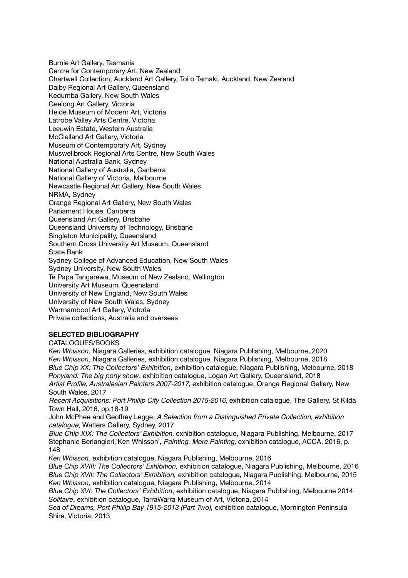Burnie Art Gallery, Tasmania Centre for Contemporary Art, New Zealand Chartwell Collection, Auckland Art Gallery, Toi o Tamaki, Auckland, New Zealand Dalby Regional Art Gallery, Queensland Kedumba Gallery, New South Wales Geelong Art Gallery, Victoria Heide Museum of Modern Art, Victoria Latrobe Valley Arts Centre, Victoria Leeuwin Estate, Western Australia McClelland Art Gallery, Victoria Museum of Contemporary Art, Sydney Muswellbrook Regional Arts Centre, New South Wales National Australia Bank, Sydney National Gallery of Australia, Canberra National Gallery of Victoria, Melbourne Newcastle Regional Art Gallery, New South Wales NRMA, Sydney Orange Regional Art Gallery, New South Wales Parliament House, Canberra Queensland Art Gallery, Brisbane Queensland University of Technology, Brisbane Singleton Municipality, Queensland Southern Cross University Art Museum, Queensland State Bank Sydney College of Advanced Education, New South Wales Sydney University, New South Wales Te Papa Tangarewa, Museum of New Zealand, Wellington University Art Museum, Queensland University of New England, New South Wales University of New South Wales, Sydney Warrnambool Art Gallery, Victoria Private collections, Australia and overseas

## **SELECTED BIBLIOGRAPHY**

CATALOGUES/BOOKS

*Ken Whisson*, Niagara Galleries, exhibition catalogue, Niagara Publishing, Melbourne, 2020 *Ken Whisson*, Niagara Galleries, exhibition catalogue, Niagara Publishing, Melbourne, 2018 *Blue Chip XX: The Collectors' Exhibition*, exhibition catalogue, Niagara Publishing, Melbourne, 2018 *Ponyland: The big pony show*, exhibition catalogue, Logan Art Gallery, Queensland, 2018 *Artist Profile, Australasian Painters 2007-2017,* exhibition catalogue, Orange Regional Gallery, New South Wales, 2017

*Recent Acquisitions: Port Phillip City Collection 2015-2016*, exhibition catalogue, The Gallery, St Kilda Town Hall, 2016, pp.18-19

John McPhee and Geoffrey Legge, *A Selection from a Distinguished Private Collection, exhibition catalogue*, Watters Gallery, Sydney, 2017

*Blue Chip XIX: The Collectors' Exhibition,* exhibition catalogue, Niagara Publishing, Melbourne, 2017 Stephanie Berlangieri,'Ken Whisson', *Painting. More Painting,* exhibition catalogue, ACCA, 2016, p. 148

*Ken Whisson,* exhibition catalogue, Niagara Publishing, Melbourne, 2016

*Blue Chip XVIII: The Collectors' Exhibition,* exhibition catalogue, Niagara Publishing, Melbourne, 2016 *Blue Chip XVII: The Collectors' Exhibition,* exhibition catalogue, Niagara Publishing, Melbourne, 2015 *Ken Whisson*, exhibition catalogue, Niagara Publishing, Melbourne, 2014

*Blue Chip XVI: The Collectors' Exhibition*, exhibition catalogue, Niagara Publishing, Melbourne 2014 *Solitaire*, exhibition catalogue, TarraWarra Museum of Art, Victoria, 2014

Sea of Dreams, Port Phillip Bay 1915-2013 (Part Two), exhibition catalogue, Mornington Peninsula Shire, Victoria, 2013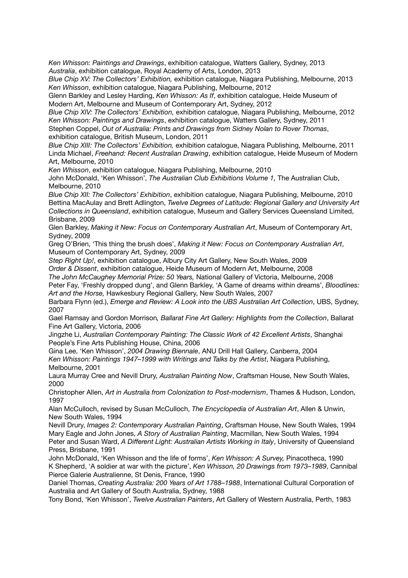*Ken Whisson: Paintings and Drawings*, exhibition catalogue, Watters Gallery, Sydney, 2013 *Australia*, exhibition catalogue, Royal Academy of Arts, London, 2013

*Blue Chip XV: The Collectors' Exhibition,* exhibition catalogue, Niagara Publishing, Melbourne, 2013 *Ken Whisson*, exhibition catalogue, Niagara Publishing, Melbourne, 2012

Glenn Barkley and Lesley Harding, *Ken Whisson: As If*, exhibition catalogue, Heide Museum of Modern Art, Melbourne and Museum of Contemporary Art, Sydney, 2012

*Blue Chip XIV: The Collectors' Exhibition,* exhibition catalogue, Niagara Publishing, Melbourne, 2012 *Ken Whisson: Paintings and Drawings*, exhibition catalogue, Watters Gallery, Sydney, 2011 Stephen Coppel, *Out of Australia: Prints and Drawings from Sidney Nolan to Rover Thomas*, exhibition catalogue, British Museum, London, 2011

*Blue Chip XIII: The Collectors' Exhibition,* exhibition catalogue, Niagara Publishing, Melbourne, 2011 Linda Michael, *Freehand: Recent Australian Drawing*, exhibition catalogue, Heide Museum of Modern Art, Melbourne, 2010

*Ken Whisson*, exhibition catalogue, Niagara Publishing, Melbourne, 2010

John McDonald, 'Ken Whisson', *The Australian Club Exhibitions Volume 1,* The Australian Club, Melbourne, 2010

*Blue Chip XII: The Collectors' Exhibition*, exhibition catalogue, Niagara Publishing, Melbourne, 2010 Bettina MacAulay and Brett Adlington, *Twelve Degrees of Latitude: Regional Gallery and University Art Collections in Queensland*, exhibition catalogue, Museum and Gallery Services Queensland Limited, Brisbane, 2009

Glen Barkley, *Making it New: Focus on Contemporary Australian Art*, Museum of Contemporary Art, Sydney, 2009

Greg O'Brien, 'This thing the brush does', *Making it New: Focus on Contemporary Australian Art*, Museum of Contemporary Art, Sydney, 2009

*Step Right Up!*, exhibition catalogue, Albury City Art Gallery, New South Wales, 2009 *Order & Dissent*, exhibition catalogue, Heide Museum of Modern Art, Melbourne, 2008

*The John McCaughey Memorial Prize: 50 Years,* National Gallery of Victoria, Melbourne, 2008

Peter Fay, 'Freshly dropped dung', and Glenn Barkley, 'A Game of dreams within dreams', *Bloodlines: Art and the Horse,* Hawkesbury Regional Gallery, New South Wales, 2007

Barbara Flynn (ed.), *Emerge and Review: A Look into the UBS Australian Art Collection*, UBS, Sydney, 2007

Gael Ramsay and Gordon Morrison*, Ballarat Fine Art Gallery: Highlights from the Collection*, Ballarat Fine Art Gallery, Victoria, 2006

Jingzhe Li, *Australian Contemporary Painting: The Classic Work of 42 Excellent Artists*, Shanghai People's Fine Arts Publishing House, China, 2006

Gina Lee, 'Ken Whisson', *2004 Drawing Biennale*, ANU Drill Hall Gallery, Canberra, 2004 *Ken Whisson: Paintings 1947–1999 with Writings and Talks by the Artist*, Niagara Publishing, Melbourne, 2001

Laura Murray Cree and Nevill Drury, *Australian Painting Now*, Craftsman House, New South Wales, 2000

Christopher Allen, *Art in Australia from Colonization to Post-modernism*, Thames & Hudson, London, 1997

Alan McCulloch, revised by Susan McCulloch, *The Encyclopedia of Australian Art*, Allen & Unwin, New South Wales, 1994

Nevill Drury, *Images 2: Contemporary Australian Painting*, Craftsman House, New South Wales, 1994 Mary Eagle and John Jones, *A Story of Australian Painting*, Macmillan, New South Wales, 1994 Peter and Susan Ward, *A Different Light: Australian Artists Working in Italy*, University of Queensland Press, Brisbane, 1991

John McDonald, 'Ken Whisson and the life of forms', *Ken Whisson: A Survey,* Pinacotheca, 1990 K Shepherd, 'A soldier at war with the picture', *Ken Whisson, 20 Drawings from 1973–1989*, Cannibal Pierce Galerie Australienne, St Denis, France, 1990

Daniel Thomas, *Creating Australia: 200 Years of Art 1788–1988*, International Cultural Corporation of Australia and Art Gallery of South Australia, Sydney, 1988

Tony Bond, 'Ken Whisson', *Twelve Australian Painters*, Art Gallery of Western Australia, Perth, 1983